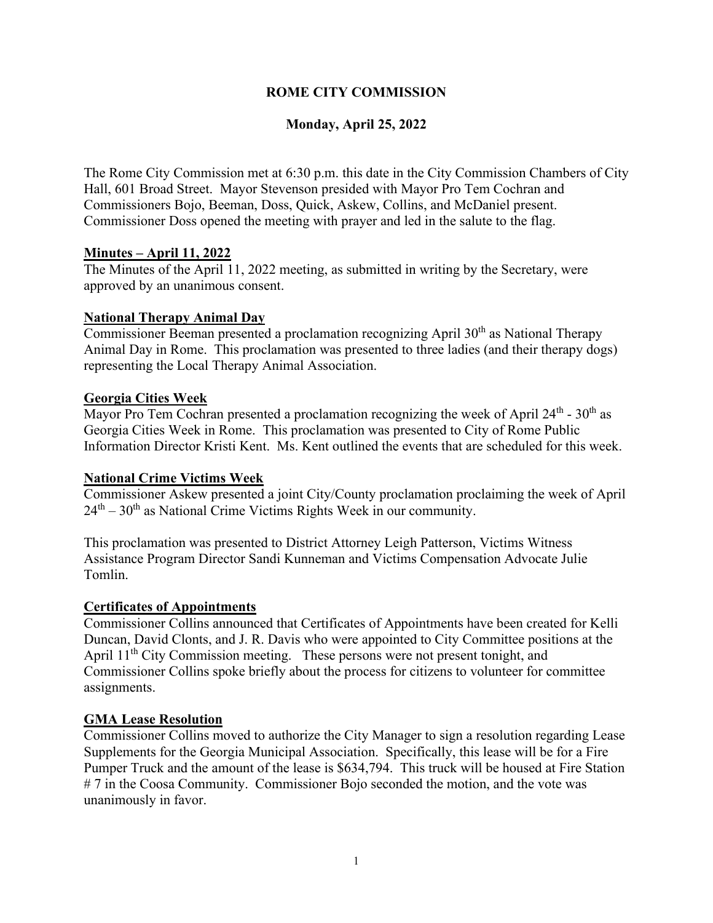## **ROME CITY COMMISSION**

## **Monday, April 25, 2022**

The Rome City Commission met at 6:30 p.m. this date in the City Commission Chambers of City Hall, 601 Broad Street. Mayor Stevenson presided with Mayor Pro Tem Cochran and Commissioners Bojo, Beeman, Doss, Quick, Askew, Collins, and McDaniel present. Commissioner Doss opened the meeting with prayer and led in the salute to the flag.

### **Minutes – April 11, 2022**

The Minutes of the April 11, 2022 meeting, as submitted in writing by the Secretary, were approved by an unanimous consent.

#### **National Therapy Animal Day**

Commissioner Beeman presented a proclamation recognizing April  $30<sup>th</sup>$  as National Therapy Animal Day in Rome. This proclamation was presented to three ladies (and their therapy dogs) representing the Local Therapy Animal Association.

#### **Georgia Cities Week**

Mayor Pro Tem Cochran presented a proclamation recognizing the week of April  $24<sup>th</sup>$  -  $30<sup>th</sup>$  as Georgia Cities Week in Rome. This proclamation was presented to City of Rome Public Information Director Kristi Kent. Ms. Kent outlined the events that are scheduled for this week.

### **National Crime Victims Week**

Commissioner Askew presented a joint City/County proclamation proclaiming the week of April  $24<sup>th</sup> - 30<sup>th</sup>$  as National Crime Victims Rights Week in our community.

This proclamation was presented to District Attorney Leigh Patterson, Victims Witness Assistance Program Director Sandi Kunneman and Victims Compensation Advocate Julie Tomlin.

#### **Certificates of Appointments**

Commissioner Collins announced that Certificates of Appointments have been created for Kelli Duncan, David Clonts, and J. R. Davis who were appointed to City Committee positions at the April 11<sup>th</sup> City Commission meeting. These persons were not present tonight, and Commissioner Collins spoke briefly about the process for citizens to volunteer for committee assignments.

#### **GMA Lease Resolution**

Commissioner Collins moved to authorize the City Manager to sign a resolution regarding Lease Supplements for the Georgia Municipal Association. Specifically, this lease will be for a Fire Pumper Truck and the amount of the lease is \$634,794. This truck will be housed at Fire Station # 7 in the Coosa Community. Commissioner Bojo seconded the motion, and the vote was unanimously in favor.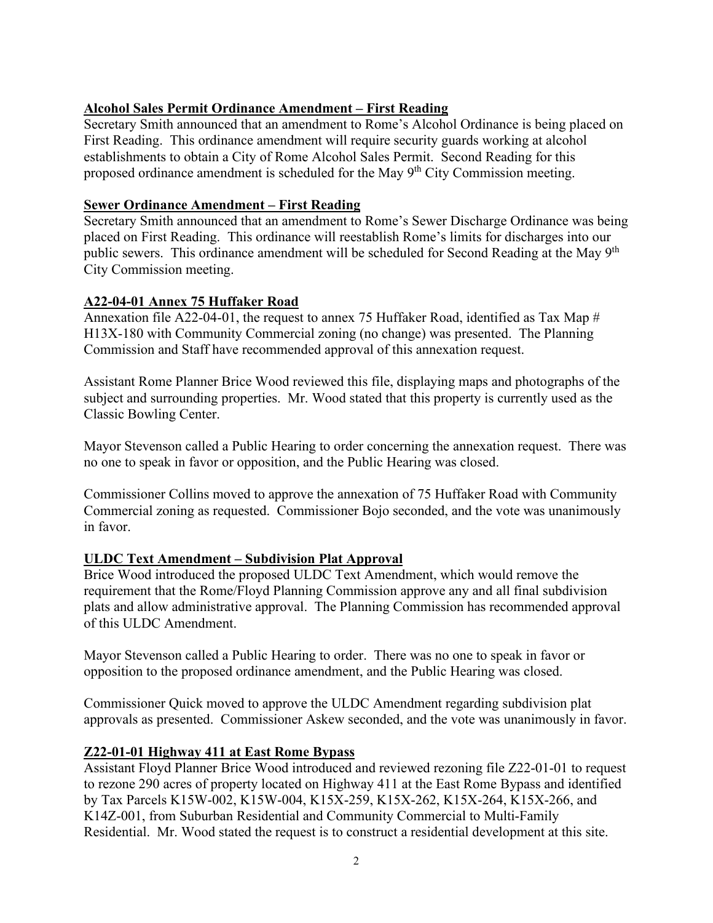# **Alcohol Sales Permit Ordinance Amendment – First Reading**

Secretary Smith announced that an amendment to Rome's Alcohol Ordinance is being placed on First Reading. This ordinance amendment will require security guards working at alcohol establishments to obtain a City of Rome Alcohol Sales Permit. Second Reading for this proposed ordinance amendment is scheduled for the May 9<sup>th</sup> City Commission meeting.

## **Sewer Ordinance Amendment – First Reading**

Secretary Smith announced that an amendment to Rome's Sewer Discharge Ordinance was being placed on First Reading. This ordinance will reestablish Rome's limits for discharges into our public sewers. This ordinance amendment will be scheduled for Second Reading at the May 9<sup>th</sup> City Commission meeting.

## **A22-04-01 Annex 75 Huffaker Road**

Annexation file A22-04-01, the request to annex 75 Huffaker Road, identified as Tax Map # H13X-180 with Community Commercial zoning (no change) was presented. The Planning Commission and Staff have recommended approval of this annexation request.

Assistant Rome Planner Brice Wood reviewed this file, displaying maps and photographs of the subject and surrounding properties. Mr. Wood stated that this property is currently used as the Classic Bowling Center.

Mayor Stevenson called a Public Hearing to order concerning the annexation request. There was no one to speak in favor or opposition, and the Public Hearing was closed.

Commissioner Collins moved to approve the annexation of 75 Huffaker Road with Community Commercial zoning as requested. Commissioner Bojo seconded, and the vote was unanimously in favor.

## **ULDC Text Amendment – Subdivision Plat Approval**

Brice Wood introduced the proposed ULDC Text Amendment, which would remove the requirement that the Rome/Floyd Planning Commission approve any and all final subdivision plats and allow administrative approval. The Planning Commission has recommended approval of this ULDC Amendment.

Mayor Stevenson called a Public Hearing to order. There was no one to speak in favor or opposition to the proposed ordinance amendment, and the Public Hearing was closed.

Commissioner Quick moved to approve the ULDC Amendment regarding subdivision plat approvals as presented. Commissioner Askew seconded, and the vote was unanimously in favor.

### **Z22-01-01 Highway 411 at East Rome Bypass**

Assistant Floyd Planner Brice Wood introduced and reviewed rezoning file Z22-01-01 to request to rezone 290 acres of property located on Highway 411 at the East Rome Bypass and identified by Tax Parcels K15W-002, K15W-004, K15X-259, K15X-262, K15X-264, K15X-266, and K14Z-001, from Suburban Residential and Community Commercial to Multi-Family Residential. Mr. Wood stated the request is to construct a residential development at this site.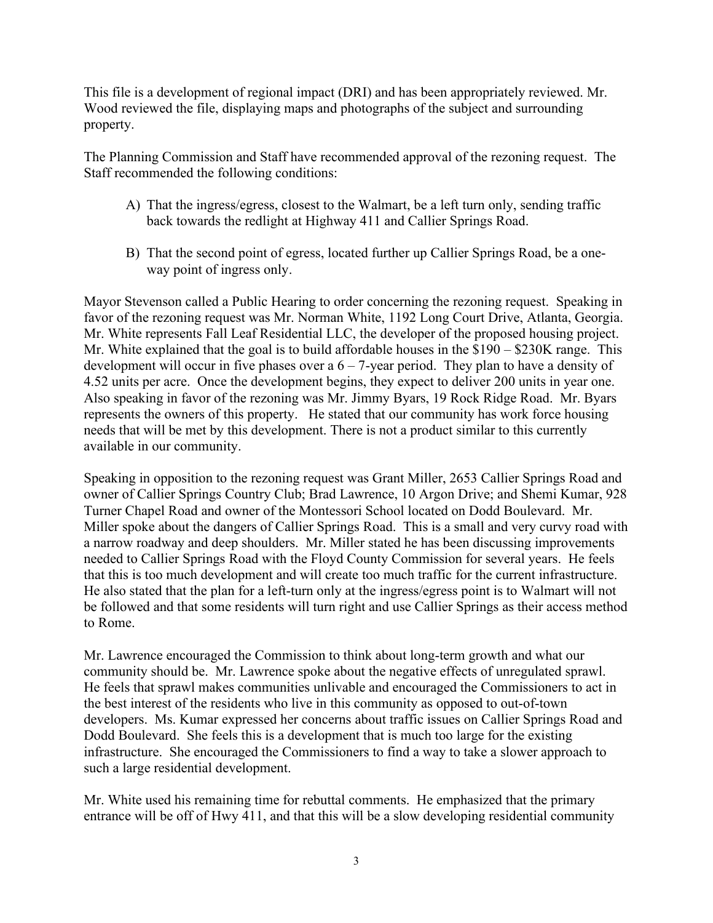This file is a development of regional impact (DRI) and has been appropriately reviewed. Mr. Wood reviewed the file, displaying maps and photographs of the subject and surrounding property.

The Planning Commission and Staff have recommended approval of the rezoning request. The Staff recommended the following conditions:

- A) That the ingress/egress, closest to the Walmart, be a left turn only, sending traffic back towards the redlight at Highway 411 and Callier Springs Road.
- B) That the second point of egress, located further up Callier Springs Road, be a oneway point of ingress only.

Mayor Stevenson called a Public Hearing to order concerning the rezoning request. Speaking in favor of the rezoning request was Mr. Norman White, 1192 Long Court Drive, Atlanta, Georgia. Mr. White represents Fall Leaf Residential LLC, the developer of the proposed housing project. Mr. White explained that the goal is to build affordable houses in the \$190 – \$230K range. This development will occur in five phases over a  $6 - 7$ -year period. They plan to have a density of 4.52 units per acre. Once the development begins, they expect to deliver 200 units in year one. Also speaking in favor of the rezoning was Mr. Jimmy Byars, 19 Rock Ridge Road. Mr. Byars represents the owners of this property. He stated that our community has work force housing needs that will be met by this development. There is not a product similar to this currently available in our community.

Speaking in opposition to the rezoning request was Grant Miller, 2653 Callier Springs Road and owner of Callier Springs Country Club; Brad Lawrence, 10 Argon Drive; and Shemi Kumar, 928 Turner Chapel Road and owner of the Montessori School located on Dodd Boulevard. Mr. Miller spoke about the dangers of Callier Springs Road. This is a small and very curvy road with a narrow roadway and deep shoulders. Mr. Miller stated he has been discussing improvements needed to Callier Springs Road with the Floyd County Commission for several years. He feels that this is too much development and will create too much traffic for the current infrastructure. He also stated that the plan for a left-turn only at the ingress/egress point is to Walmart will not be followed and that some residents will turn right and use Callier Springs as their access method to Rome.

Mr. Lawrence encouraged the Commission to think about long-term growth and what our community should be. Mr. Lawrence spoke about the negative effects of unregulated sprawl. He feels that sprawl makes communities unlivable and encouraged the Commissioners to act in the best interest of the residents who live in this community as opposed to out-of-town developers. Ms. Kumar expressed her concerns about traffic issues on Callier Springs Road and Dodd Boulevard. She feels this is a development that is much too large for the existing infrastructure. She encouraged the Commissioners to find a way to take a slower approach to such a large residential development.

Mr. White used his remaining time for rebuttal comments. He emphasized that the primary entrance will be off of Hwy 411, and that this will be a slow developing residential community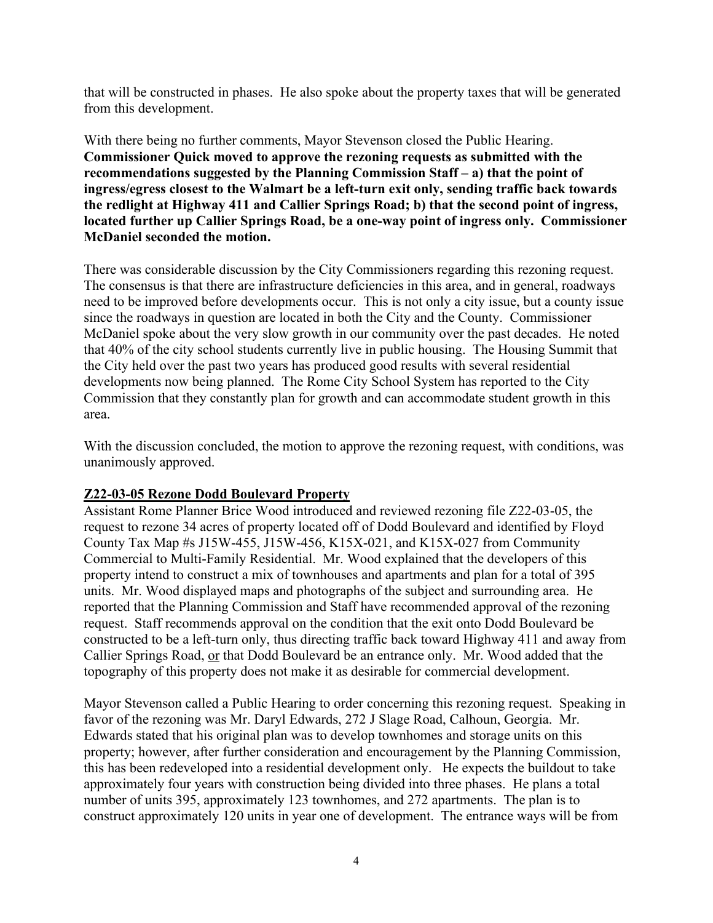that will be constructed in phases. He also spoke about the property taxes that will be generated from this development.

With there being no further comments, Mayor Stevenson closed the Public Hearing. **Commissioner Quick moved to approve the rezoning requests as submitted with the recommendations suggested by the Planning Commission Staff – a) that the point of ingress/egress closest to the Walmart be a left-turn exit only, sending traffic back towards the redlight at Highway 411 and Callier Springs Road; b) that the second point of ingress, located further up Callier Springs Road, be a one-way point of ingress only. Commissioner McDaniel seconded the motion.**

There was considerable discussion by the City Commissioners regarding this rezoning request. The consensus is that there are infrastructure deficiencies in this area, and in general, roadways need to be improved before developments occur. This is not only a city issue, but a county issue since the roadways in question are located in both the City and the County. Commissioner McDaniel spoke about the very slow growth in our community over the past decades. He noted that 40% of the city school students currently live in public housing. The Housing Summit that the City held over the past two years has produced good results with several residential developments now being planned. The Rome City School System has reported to the City Commission that they constantly plan for growth and can accommodate student growth in this area.

With the discussion concluded, the motion to approve the rezoning request, with conditions, was unanimously approved.

## **Z22-03-05 Rezone Dodd Boulevard Property**

Assistant Rome Planner Brice Wood introduced and reviewed rezoning file Z22-03-05, the request to rezone 34 acres of property located off of Dodd Boulevard and identified by Floyd County Tax Map #s J15W-455, J15W-456, K15X-021, and K15X-027 from Community Commercial to Multi-Family Residential. Mr. Wood explained that the developers of this property intend to construct a mix of townhouses and apartments and plan for a total of 395 units. Mr. Wood displayed maps and photographs of the subject and surrounding area. He reported that the Planning Commission and Staff have recommended approval of the rezoning request. Staff recommends approval on the condition that the exit onto Dodd Boulevard be constructed to be a left-turn only, thus directing traffic back toward Highway 411 and away from Callier Springs Road, or that Dodd Boulevard be an entrance only. Mr. Wood added that the topography of this property does not make it as desirable for commercial development.

Mayor Stevenson called a Public Hearing to order concerning this rezoning request. Speaking in favor of the rezoning was Mr. Daryl Edwards, 272 J Slage Road, Calhoun, Georgia. Mr. Edwards stated that his original plan was to develop townhomes and storage units on this property; however, after further consideration and encouragement by the Planning Commission, this has been redeveloped into a residential development only. He expects the buildout to take approximately four years with construction being divided into three phases. He plans a total number of units 395, approximately 123 townhomes, and 272 apartments. The plan is to construct approximately 120 units in year one of development. The entrance ways will be from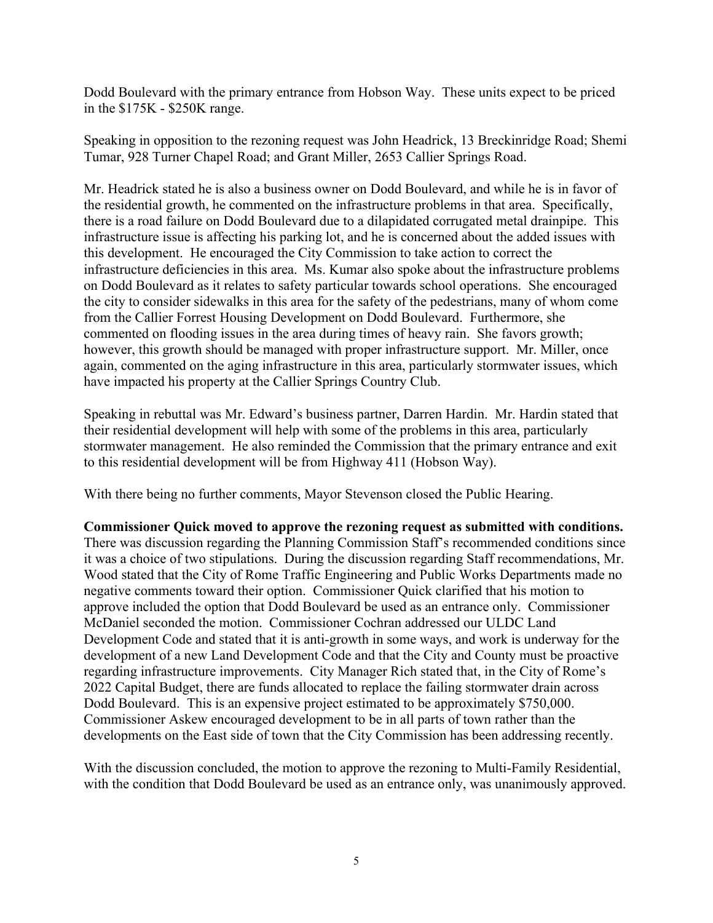Dodd Boulevard with the primary entrance from Hobson Way. These units expect to be priced in the \$175K - \$250K range.

Speaking in opposition to the rezoning request was John Headrick, 13 Breckinridge Road; Shemi Tumar, 928 Turner Chapel Road; and Grant Miller, 2653 Callier Springs Road.

Mr. Headrick stated he is also a business owner on Dodd Boulevard, and while he is in favor of the residential growth, he commented on the infrastructure problems in that area. Specifically, there is a road failure on Dodd Boulevard due to a dilapidated corrugated metal drainpipe. This infrastructure issue is affecting his parking lot, and he is concerned about the added issues with this development. He encouraged the City Commission to take action to correct the infrastructure deficiencies in this area. Ms. Kumar also spoke about the infrastructure problems on Dodd Boulevard as it relates to safety particular towards school operations. She encouraged the city to consider sidewalks in this area for the safety of the pedestrians, many of whom come from the Callier Forrest Housing Development on Dodd Boulevard. Furthermore, she commented on flooding issues in the area during times of heavy rain. She favors growth; however, this growth should be managed with proper infrastructure support. Mr. Miller, once again, commented on the aging infrastructure in this area, particularly stormwater issues, which have impacted his property at the Callier Springs Country Club.

Speaking in rebuttal was Mr. Edward's business partner, Darren Hardin. Mr. Hardin stated that their residential development will help with some of the problems in this area, particularly stormwater management. He also reminded the Commission that the primary entrance and exit to this residential development will be from Highway 411 (Hobson Way).

With there being no further comments, Mayor Stevenson closed the Public Hearing.

**Commissioner Quick moved to approve the rezoning request as submitted with conditions.**  There was discussion regarding the Planning Commission Staff's recommended conditions since it was a choice of two stipulations. During the discussion regarding Staff recommendations, Mr. Wood stated that the City of Rome Traffic Engineering and Public Works Departments made no negative comments toward their option. Commissioner Quick clarified that his motion to approve included the option that Dodd Boulevard be used as an entrance only. Commissioner McDaniel seconded the motion. Commissioner Cochran addressed our ULDC Land Development Code and stated that it is anti-growth in some ways, and work is underway for the development of a new Land Development Code and that the City and County must be proactive regarding infrastructure improvements. City Manager Rich stated that, in the City of Rome's 2022 Capital Budget, there are funds allocated to replace the failing stormwater drain across Dodd Boulevard. This is an expensive project estimated to be approximately \$750,000. Commissioner Askew encouraged development to be in all parts of town rather than the developments on the East side of town that the City Commission has been addressing recently.

With the discussion concluded, the motion to approve the rezoning to Multi-Family Residential, with the condition that Dodd Boulevard be used as an entrance only, was unanimously approved.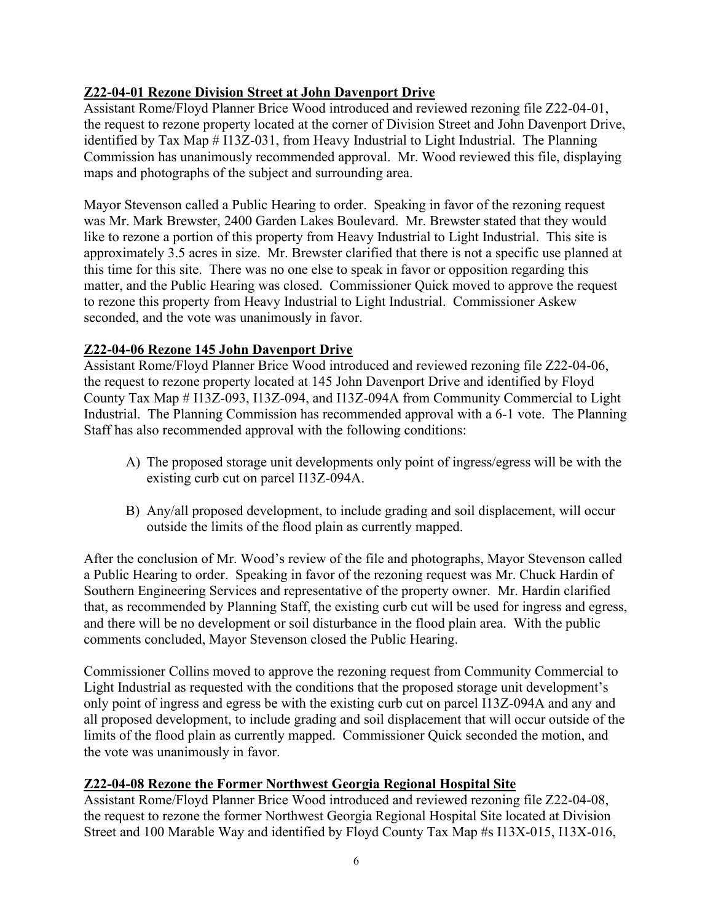# **Z22-04-01 Rezone Division Street at John Davenport Drive**

Assistant Rome/Floyd Planner Brice Wood introduced and reviewed rezoning file Z22-04-01, the request to rezone property located at the corner of Division Street and John Davenport Drive, identified by Tax Map # I13Z-031, from Heavy Industrial to Light Industrial. The Planning Commission has unanimously recommended approval. Mr. Wood reviewed this file, displaying maps and photographs of the subject and surrounding area.

Mayor Stevenson called a Public Hearing to order. Speaking in favor of the rezoning request was Mr. Mark Brewster, 2400 Garden Lakes Boulevard. Mr. Brewster stated that they would like to rezone a portion of this property from Heavy Industrial to Light Industrial. This site is approximately 3.5 acres in size. Mr. Brewster clarified that there is not a specific use planned at this time for this site. There was no one else to speak in favor or opposition regarding this matter, and the Public Hearing was closed. Commissioner Quick moved to approve the request to rezone this property from Heavy Industrial to Light Industrial. Commissioner Askew seconded, and the vote was unanimously in favor.

# **Z22-04-06 Rezone 145 John Davenport Drive**

Assistant Rome/Floyd Planner Brice Wood introduced and reviewed rezoning file Z22-04-06, the request to rezone property located at 145 John Davenport Drive and identified by Floyd County Tax Map # I13Z-093, I13Z-094, and I13Z-094A from Community Commercial to Light Industrial. The Planning Commission has recommended approval with a 6-1 vote. The Planning Staff has also recommended approval with the following conditions:

- A) The proposed storage unit developments only point of ingress/egress will be with the existing curb cut on parcel I13Z-094A.
- B) Any/all proposed development, to include grading and soil displacement, will occur outside the limits of the flood plain as currently mapped.

After the conclusion of Mr. Wood's review of the file and photographs, Mayor Stevenson called a Public Hearing to order. Speaking in favor of the rezoning request was Mr. Chuck Hardin of Southern Engineering Services and representative of the property owner. Mr. Hardin clarified that, as recommended by Planning Staff, the existing curb cut will be used for ingress and egress, and there will be no development or soil disturbance in the flood plain area. With the public comments concluded, Mayor Stevenson closed the Public Hearing.

Commissioner Collins moved to approve the rezoning request from Community Commercial to Light Industrial as requested with the conditions that the proposed storage unit development's only point of ingress and egress be with the existing curb cut on parcel I13Z-094A and any and all proposed development, to include grading and soil displacement that will occur outside of the limits of the flood plain as currently mapped. Commissioner Quick seconded the motion, and the vote was unanimously in favor.

## **Z22-04-08 Rezone the Former Northwest Georgia Regional Hospital Site**

Assistant Rome/Floyd Planner Brice Wood introduced and reviewed rezoning file Z22-04-08, the request to rezone the former Northwest Georgia Regional Hospital Site located at Division Street and 100 Marable Way and identified by Floyd County Tax Map #s I13X-015, I13X-016,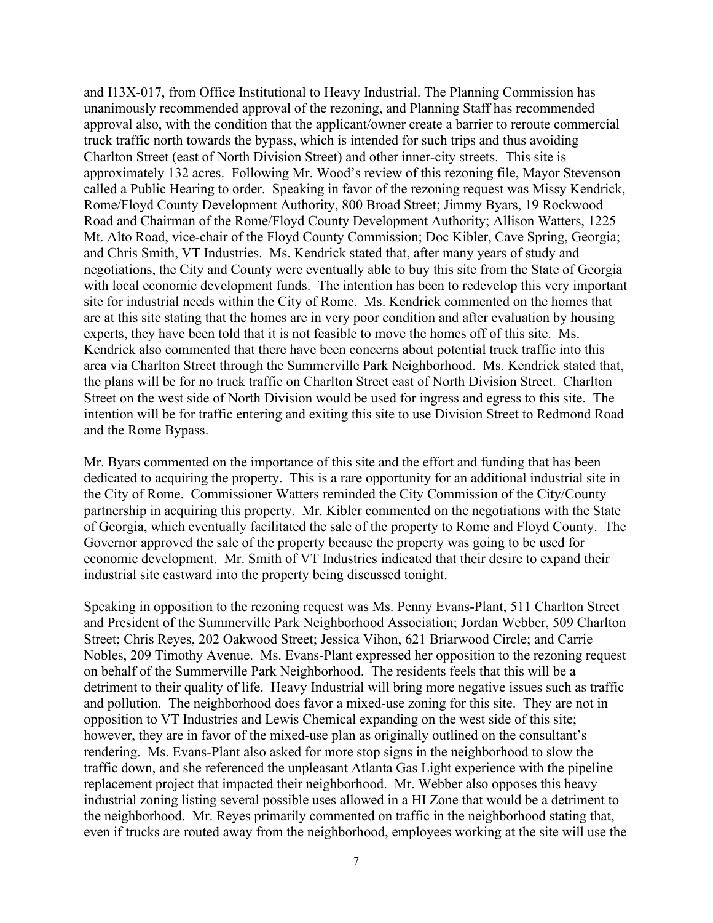and I13X-017, from Office Institutional to Heavy Industrial. The Planning Commission has unanimously recommended approval of the rezoning, and Planning Staff has recommended approval also, with the condition that the applicant/owner create a barrier to reroute commercial truck traffic north towards the bypass, which is intended for such trips and thus avoiding Charlton Street (east of North Division Street) and other inner-city streets. This site is approximately 132 acres. Following Mr. Wood's review of this rezoning file, Mayor Stevenson called a Public Hearing to order. Speaking in favor of the rezoning request was Missy Kendrick, Rome/Floyd County Development Authority, 800 Broad Street; Jimmy Byars, 19 Rockwood Road and Chairman of the Rome/Floyd County Development Authority; Allison Watters, 1225 Mt. Alto Road, vice-chair of the Floyd County Commission; Doc Kibler, Cave Spring, Georgia; and Chris Smith, VT Industries. Ms. Kendrick stated that, after many years of study and negotiations, the City and County were eventually able to buy this site from the State of Georgia with local economic development funds. The intention has been to redevelop this very important site for industrial needs within the City of Rome. Ms. Kendrick commented on the homes that are at this site stating that the homes are in very poor condition and after evaluation by housing experts, they have been told that it is not feasible to move the homes off of this site. Ms. Kendrick also commented that there have been concerns about potential truck traffic into this area via Charlton Street through the Summerville Park Neighborhood. Ms. Kendrick stated that, the plans will be for no truck traffic on Charlton Street east of North Division Street. Charlton Street on the west side of North Division would be used for ingress and egress to this site. The intention will be for traffic entering and exiting this site to use Division Street to Redmond Road and the Rome Bypass.

Mr. Byars commented on the importance of this site and the effort and funding that has been dedicated to acquiring the property. This is a rare opportunity for an additional industrial site in the City of Rome. Commissioner Watters reminded the City Commission of the City/County partnership in acquiring this property. Mr. Kibler commented on the negotiations with the State of Georgia, which eventually facilitated the sale of the property to Rome and Floyd County. The Governor approved the sale of the property because the property was going to be used for economic development. Mr. Smith of VT Industries indicated that their desire to expand their industrial site eastward into the property being discussed tonight.

Speaking in opposition to the rezoning request was Ms. Penny Evans-Plant, 511 Charlton Street and President of the Summerville Park Neighborhood Association; Jordan Webber, 509 Charlton Street; Chris Reyes, 202 Oakwood Street; Jessica Vihon, 621 Briarwood Circle; and Carrie Nobles, 209 Timothy Avenue. Ms. Evans-Plant expressed her opposition to the rezoning request on behalf of the Summerville Park Neighborhood. The residents feels that this will be a detriment to their quality of life. Heavy Industrial will bring more negative issues such as traffic and pollution. The neighborhood does favor a mixed-use zoning for this site. They are not in opposition to VT Industries and Lewis Chemical expanding on the west side of this site; however, they are in favor of the mixed-use plan as originally outlined on the consultant's rendering. Ms. Evans-Plant also asked for more stop signs in the neighborhood to slow the traffic down, and she referenced the unpleasant Atlanta Gas Light experience with the pipeline replacement project that impacted their neighborhood. Mr. Webber also opposes this heavy industrial zoning listing several possible uses allowed in a HI Zone that would be a detriment to the neighborhood. Mr. Reyes primarily commented on traffic in the neighborhood stating that, even if trucks are routed away from the neighborhood, employees working at the site will use the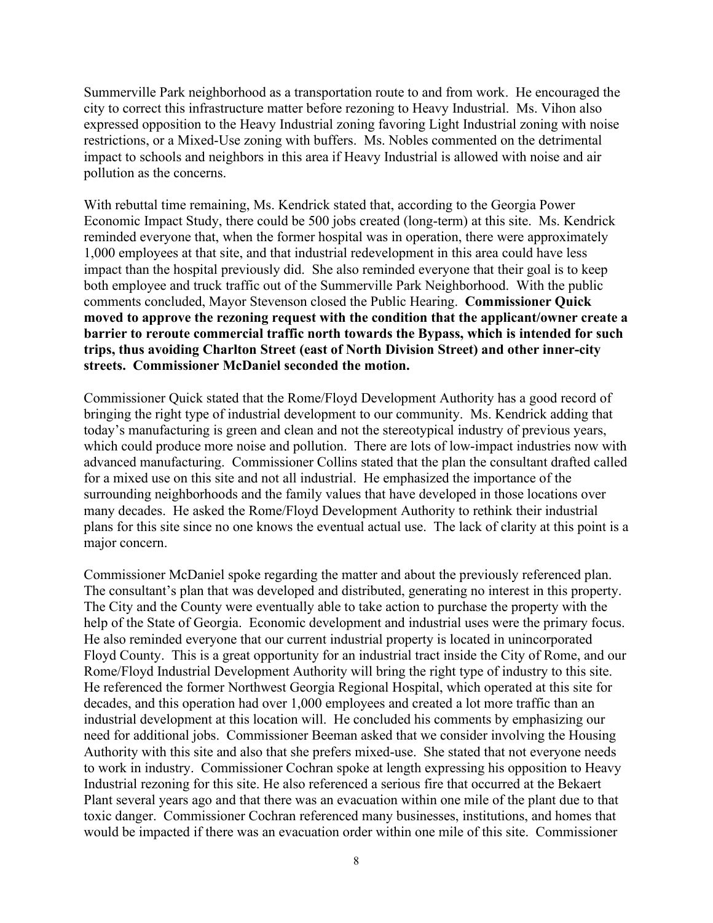Summerville Park neighborhood as a transportation route to and from work. He encouraged the city to correct this infrastructure matter before rezoning to Heavy Industrial. Ms. Vihon also expressed opposition to the Heavy Industrial zoning favoring Light Industrial zoning with noise restrictions, or a Mixed-Use zoning with buffers. Ms. Nobles commented on the detrimental impact to schools and neighbors in this area if Heavy Industrial is allowed with noise and air pollution as the concerns.

With rebuttal time remaining, Ms. Kendrick stated that, according to the Georgia Power Economic Impact Study, there could be 500 jobs created (long-term) at this site. Ms. Kendrick reminded everyone that, when the former hospital was in operation, there were approximately 1,000 employees at that site, and that industrial redevelopment in this area could have less impact than the hospital previously did. She also reminded everyone that their goal is to keep both employee and truck traffic out of the Summerville Park Neighborhood. With the public comments concluded, Mayor Stevenson closed the Public Hearing. **Commissioner Quick moved to approve the rezoning request with the condition that the applicant/owner create a barrier to reroute commercial traffic north towards the Bypass, which is intended for such trips, thus avoiding Charlton Street (east of North Division Street) and other inner-city streets. Commissioner McDaniel seconded the motion.**

Commissioner Quick stated that the Rome/Floyd Development Authority has a good record of bringing the right type of industrial development to our community. Ms. Kendrick adding that today's manufacturing is green and clean and not the stereotypical industry of previous years, which could produce more noise and pollution. There are lots of low-impact industries now with advanced manufacturing. Commissioner Collins stated that the plan the consultant drafted called for a mixed use on this site and not all industrial. He emphasized the importance of the surrounding neighborhoods and the family values that have developed in those locations over many decades. He asked the Rome/Floyd Development Authority to rethink their industrial plans for this site since no one knows the eventual actual use. The lack of clarity at this point is a major concern.

Commissioner McDaniel spoke regarding the matter and about the previously referenced plan. The consultant's plan that was developed and distributed, generating no interest in this property. The City and the County were eventually able to take action to purchase the property with the help of the State of Georgia. Economic development and industrial uses were the primary focus. He also reminded everyone that our current industrial property is located in unincorporated Floyd County. This is a great opportunity for an industrial tract inside the City of Rome, and our Rome/Floyd Industrial Development Authority will bring the right type of industry to this site. He referenced the former Northwest Georgia Regional Hospital, which operated at this site for decades, and this operation had over 1,000 employees and created a lot more traffic than an industrial development at this location will. He concluded his comments by emphasizing our need for additional jobs. Commissioner Beeman asked that we consider involving the Housing Authority with this site and also that she prefers mixed-use. She stated that not everyone needs to work in industry. Commissioner Cochran spoke at length expressing his opposition to Heavy Industrial rezoning for this site. He also referenced a serious fire that occurred at the Bekaert Plant several years ago and that there was an evacuation within one mile of the plant due to that toxic danger. Commissioner Cochran referenced many businesses, institutions, and homes that would be impacted if there was an evacuation order within one mile of this site. Commissioner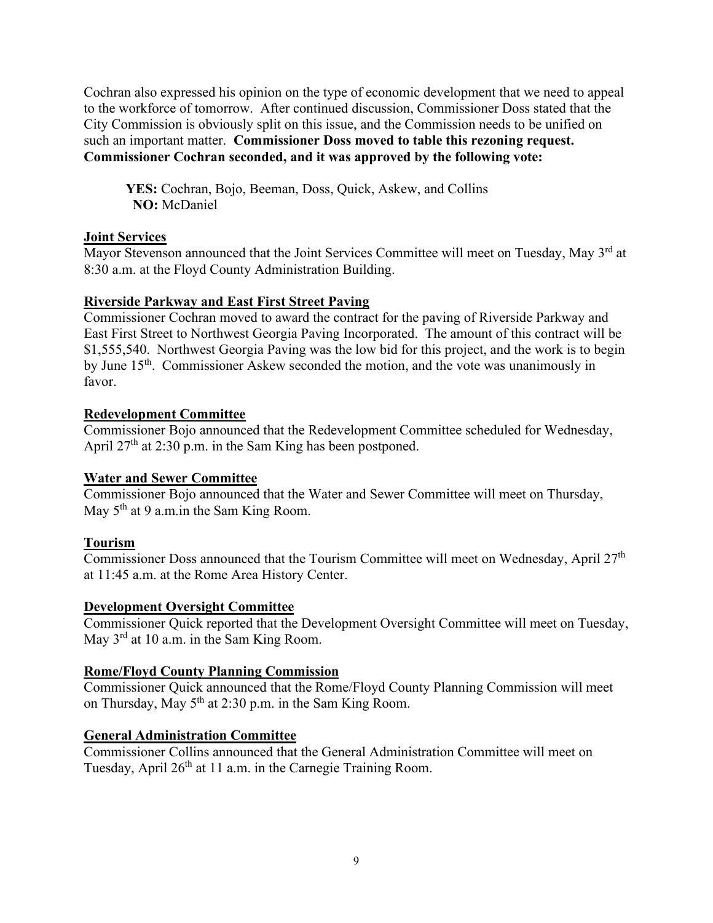Cochran also expressed his opinion on the type of economic development that we need to appeal to the workforce of tomorrow. After continued discussion, Commissioner Doss stated that the City Commission is obviously split on this issue, and the Commission needs to be unified on such an important matter. **Commissioner Doss moved to table this rezoning request. Commissioner Cochran seconded, and it was approved by the following vote:**

**YES:** Cochran, Bojo, Beeman, Doss, Quick, Askew, and Collins  **NO:** McDaniel

## **Joint Services**

Mayor Stevenson announced that the Joint Services Committee will meet on Tuesday, May 3<sup>rd</sup> at 8:30 a.m. at the Floyd County Administration Building.

## **Riverside Parkway and East First Street Paving**

Commissioner Cochran moved to award the contract for the paving of Riverside Parkway and East First Street to Northwest Georgia Paving Incorporated. The amount of this contract will be \$1,555,540. Northwest Georgia Paving was the low bid for this project, and the work is to begin by June 15<sup>th</sup>. Commissioner Askew seconded the motion, and the vote was unanimously in favor.

## **Redevelopment Committee**

Commissioner Bojo announced that the Redevelopment Committee scheduled for Wednesday, April  $27<sup>th</sup>$  at 2:30 p.m. in the Sam King has been postponed.

## **Water and Sewer Committee**

Commissioner Bojo announced that the Water and Sewer Committee will meet on Thursday, May  $5<sup>th</sup>$  at 9 a.m. in the Sam King Room.

## **Tourism**

Commissioner Doss announced that the Tourism Committee will meet on Wednesday, April  $27<sup>th</sup>$ at 11:45 a.m. at the Rome Area History Center.

### **Development Oversight Committee**

Commissioner Quick reported that the Development Oversight Committee will meet on Tuesday, May 3<sup>rd</sup> at 10 a.m. in the Sam King Room.

### **Rome/Floyd County Planning Commission**

Commissioner Quick announced that the Rome/Floyd County Planning Commission will meet on Thursday, May 5<sup>th</sup> at 2:30 p.m. in the Sam King Room.

### **General Administration Committee**

Commissioner Collins announced that the General Administration Committee will meet on Tuesday, April 26<sup>th</sup> at 11 a.m. in the Carnegie Training Room.